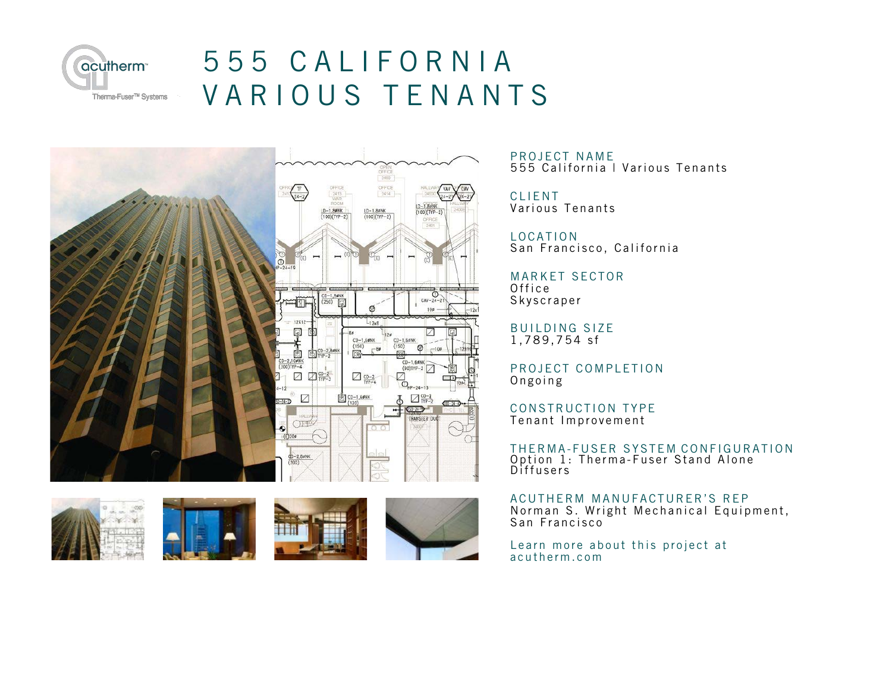

## 555 CALIFORNIA VARIOUS TENANTS





PROJECT NAME 555 California | Various Tenants

**CLIENT** Various Tenants

LOCATION San Francisco, California

MARKET SECTOR Office Skyscraper

**BUILDING SIZE** 1,789,754 sf

PROJECT COMPLETION Ongoing

CONSTRUCTION TYPE Tenant Improvement

THERMA-FUSER SYSTEM CONFIGURATION Option 1: Therma-Fuser Stand Alone **Diffusers** 

ACUTHERM MANUFACTURER'S REP Norman S. Wright Mechanical Equipment, San Francisco

Learn more about this project at acutherm.com